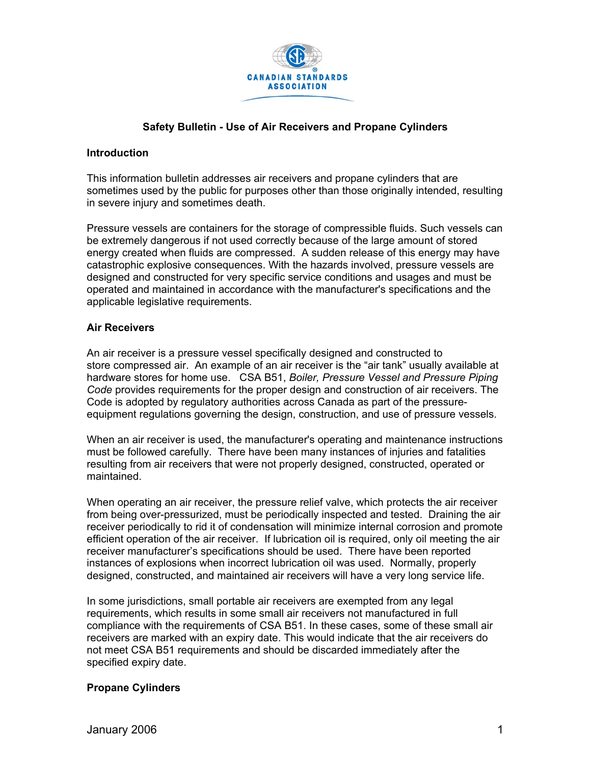

# **Safety Bulletin - Use of Air Receivers and Propane Cylinders**

#### **Introduction**

This information bulletin addresses air receivers and propane cylinders that are sometimes used by the public for purposes other than those originally intended, resulting in severe injury and sometimes death.

Pressure vessels are containers for the storage of compressible fluids. Such vessels can be extremely dangerous if not used correctly because of the large amount of stored energy created when fluids are compressed. A sudden release of this energy may have catastrophic explosive consequences. With the hazards involved, pressure vessels are designed and constructed for very specific service conditions and usages and must be operated and maintained in accordance with the manufacturer's specifications and the applicable legislative requirements.

### **Air Receivers**

An air receiver is a pressure vessel specifically designed and constructed to store compressed air. An example of an air receiver is the "air tank" usually available at hardware stores for home use. CSA B51, *Boiler, Pressure Vessel and Pressure Piping Code* provides requirements for the proper design and construction of air receivers. The Code is adopted by regulatory authorities across Canada as part of the pressureequipment regulations governing the design, construction, and use of pressure vessels.

When an air receiver is used, the manufacturer's operating and maintenance instructions must be followed carefully. There have been many instances of injuries and fatalities resulting from air receivers that were not properly designed, constructed, operated or maintained.

When operating an air receiver, the pressure relief valve, which protects the air receiver from being over-pressurized, must be periodically inspected and tested. Draining the air receiver periodically to rid it of condensation will minimize internal corrosion and promote efficient operation of the air receiver. If lubrication oil is required, only oil meeting the air receiver manufacturer's specifications should be used. There have been reported instances of explosions when incorrect lubrication oil was used. Normally, properly designed, constructed, and maintained air receivers will have a very long service life.

In some jurisdictions, small portable air receivers are exempted from any legal requirements, which results in some small air receivers not manufactured in full compliance with the requirements of CSA B51. In these cases, some of these small air receivers are marked with an expiry date. This would indicate that the air receivers do not meet CSA B51 requirements and should be discarded immediately after the specified expiry date.

## **Propane Cylinders**